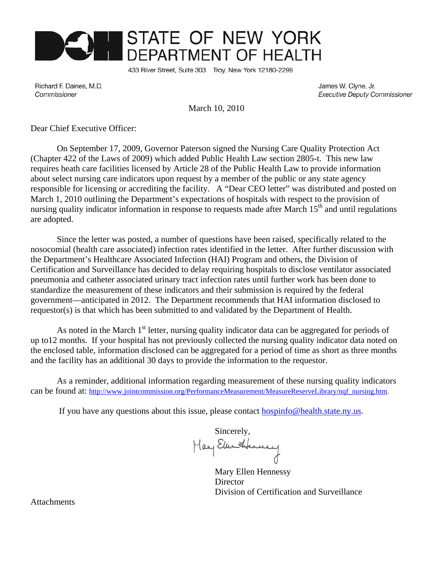

433 River Street, Suite 303 Troy, New York 12180-2299

Richard F. Daines, M.D. Commissioner

James W. Clyne, Jr. **Executive Deputy Commissioner** 

March 10, 2010

Dear Chief Executive Officer:

On September 17, 2009, Governor Paterson signed the Nursing Care Quality Protection Act (Chapter 422 of the Laws of 2009) which added Public Health Law section 2805-t. This new law requires heath care facilities licensed by Article 28 of the Public Health Law to provide information about select nursing care indicators upon request by a member of the public or any state agency responsible for licensing or accrediting the facility. A "Dear CEO letter" was distributed and posted on March 1, 2010 outlining the Department's expectations of hospitals with respect to the provision of nursing quality indicator information in response to requests made after March 15<sup>th</sup> and until regulations are adopted.

Since the letter was posted, a number of questions have been raised, specifically related to the nosocomial (health care associated) infection rates identified in the letter. After further discussion with the Department's Healthcare Associated Infection (HAI) Program and others, the Division of Certification and Surveillance has decided to delay requiring hospitals to disclose ventilator associated pneumonia and catheter associated urinary tract infection rates until further work has been done to standardize the measurement of these indicators and their submission is required by the federal government—anticipated in 2012. The Department recommends that HAI information disclosed to requestor(s) is that which has been submitted to and validated by the Department of Health.

As noted in the March 1<sup>st</sup> letter, nursing quality indicator data can be aggregated for periods of up to12 months. If your hospital has not previously collected the nursing quality indicator data noted on the enclosed table, information disclosed can be aggregated for a period of time as short as three months and the facility has an additional 30 days to provide the information to the requestor.

As a reminder, additional information regarding measurement of these nursing quality indicators can be found at: http://www.jointcommission.org/PerformanceMeasurement/MeasureReserveLibrary/nqf\_nursing.htm.

If you have any questions about this issue, please contact hospinfo@health.state.ny.us.

Sincerely,<br>May Elen Henney

Mary Ellen Hennessy **Director** Division of Certification and Surveillance

Attachments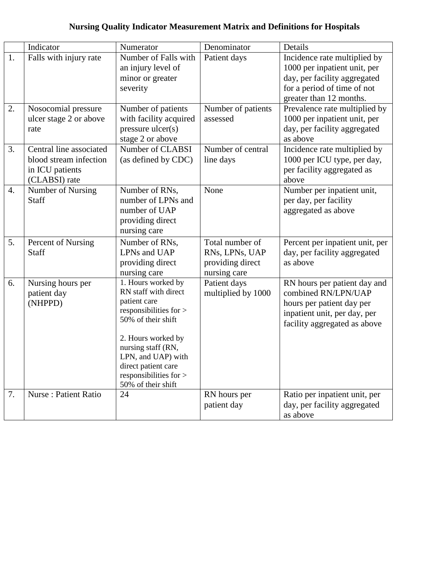## **Nursing Quality Indicator Measurement Matrix and Definitions for Hospitals**

|                  | Indicator                                                                             | Numerator                                                                                                                                                                                                                                           | Denominator                                                           | Details                                                                                                                                                |
|------------------|---------------------------------------------------------------------------------------|-----------------------------------------------------------------------------------------------------------------------------------------------------------------------------------------------------------------------------------------------------|-----------------------------------------------------------------------|--------------------------------------------------------------------------------------------------------------------------------------------------------|
| 1.               | Falls with injury rate                                                                | Number of Falls with<br>an injury level of<br>minor or greater<br>severity                                                                                                                                                                          | Patient days                                                          | Incidence rate multiplied by<br>1000 per inpatient unit, per<br>day, per facility aggregated<br>for a period of time of not<br>greater than 12 months. |
| 2.               | Nosocomial pressure<br>ulcer stage 2 or above<br>rate                                 | Number of patients<br>with facility acquired<br>$pressure$ ulcer $(s)$<br>stage 2 or above                                                                                                                                                          | Number of patients<br>assessed                                        | Prevalence rate multiplied by<br>1000 per inpatient unit, per<br>day, per facility aggregated<br>as above                                              |
| 3.               | Central line associated<br>blood stream infection<br>in ICU patients<br>(CLABSI) rate | Number of CLABSI<br>(as defined by CDC)                                                                                                                                                                                                             | Number of central<br>line days                                        | Incidence rate multiplied by<br>1000 per ICU type, per day,<br>per facility aggregated as<br>above                                                     |
| $\overline{4}$ . | Number of Nursing<br>Staff                                                            | Number of RNs,<br>number of LPNs and<br>number of UAP<br>providing direct<br>nursing care                                                                                                                                                           | None                                                                  | Number per inpatient unit,<br>per day, per facility<br>aggregated as above                                                                             |
| 5.               | Percent of Nursing<br><b>Staff</b>                                                    | Number of RNs,<br>LPNs and UAP<br>providing direct<br>nursing care                                                                                                                                                                                  | Total number of<br>RNs, LPNs, UAP<br>providing direct<br>nursing care | Percent per inpatient unit, per<br>day, per facility aggregated<br>as above                                                                            |
| 6.               | Nursing hours per<br>patient day<br>(NHPPD)                                           | 1. Hours worked by<br>RN staff with direct<br>patient care<br>responsibilities for ><br>50% of their shift<br>2. Hours worked by<br>nursing staff (RN,<br>LPN, and UAP) with<br>direct patient care<br>responsibilities for ><br>50% of their shift | Patient days<br>multiplied by 1000                                    | RN hours per patient day and<br>combined RN/LPN/UAP<br>hours per patient day per<br>inpatient unit, per day, per<br>facility aggregated as above       |
| 7.               | Nurse : Patient Ratio                                                                 | 24                                                                                                                                                                                                                                                  | RN hours per<br>patient day                                           | Ratio per inpatient unit, per<br>day, per facility aggregated<br>as above                                                                              |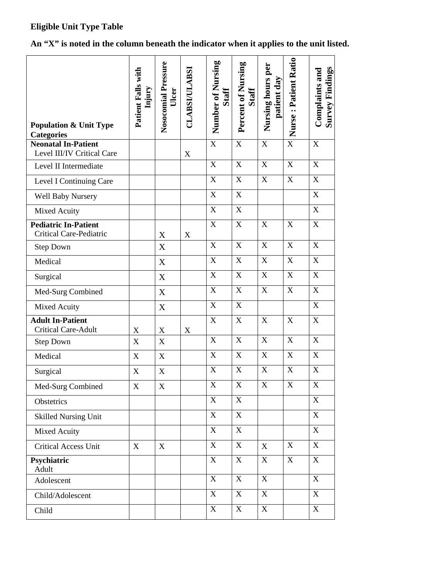### **Eligible Unit Type Table**

# **An "X" is noted in the column beneath the indicator when it applies to the unit listed.**

| <b>Population &amp; Unit Type</b><br><b>Categories</b>        | Patient Falls with<br>Injury | Nosocomial Pressure<br>Ulcer | <b>CLABSI/ULABSI</b> | Number of Nursing<br><b>Staff</b> | Percent of Nursing<br><b>Staff</b> | Nursing hours per<br>patient day | Nurse: Patient Ratio    | <b>Survey Findings</b><br>Complaints and |
|---------------------------------------------------------------|------------------------------|------------------------------|----------------------|-----------------------------------|------------------------------------|----------------------------------|-------------------------|------------------------------------------|
| <b>Neonatal In-Patient</b><br>Level III/IV Critical Care      |                              |                              | X                    | $\mathbf X$                       | $\mathbf X$                        | X                                | $\overline{X}$          | $\mathbf X$                              |
| Level II Intermediate                                         |                              |                              |                      | $\boldsymbol{\mathrm{X}}$         | $\boldsymbol{\mathrm{X}}$          | $\boldsymbol{\mathrm{X}}$        | $\mathbf X$             | $\mathbf X$                              |
| Level I Continuing Care                                       |                              |                              |                      | $\mathbf X$                       | X                                  | $\boldsymbol{X}$                 | $\mathbf X$             | $\mathbf X$                              |
| <b>Well Baby Nursery</b>                                      |                              |                              |                      | $\boldsymbol{\mathrm{X}}$         | $\boldsymbol{\mathrm{X}}$          |                                  |                         | $\mathbf X$                              |
| Mixed Acuity                                                  |                              |                              |                      | $\mathbf X$                       | $\mathbf X$                        |                                  |                         | $\overline{X}$                           |
| <b>Pediatric In-Patient</b><br><b>Critical Care-Pediatric</b> |                              | X                            | X                    | $\mathbf X$                       | $\mathbf X$                        | X                                | $\mathbf X$             | $\boldsymbol{\mathrm{X}}$                |
| <b>Step Down</b>                                              |                              | $\mathbf X$                  |                      | $\mathbf X$                       | $\mathbf X$                        | $\boldsymbol{X}$                 | $\mathbf X$             | $\mathbf X$                              |
| Medical                                                       |                              | X                            |                      | $\overline{X}$                    | $\mathbf X$                        | $\boldsymbol{\mathrm{X}}$        | $\overline{\mathbf{X}}$ | $\overline{X}$                           |
| Surgical                                                      |                              | X                            |                      | X                                 | $\mathbf X$                        | X                                | $\mathbf X$             | X                                        |
| Med-Surg Combined                                             |                              | X                            |                      | $\mathbf X$                       | X                                  | X                                | $\mathbf X$             | $\mathbf X$                              |
| Mixed Acuity                                                  |                              | X                            |                      | $\mathbf X$                       | $\boldsymbol{\mathrm{X}}$          |                                  |                         | $\overline{\text{X}}$                    |
| <b>Adult In-Patient</b><br><b>Critical Care-Adult</b>         | $\mathbf X$                  | $\mathbf X$                  | $\boldsymbol{X}$     | X                                 | X                                  | X                                | X                       | $\mathbf X$                              |
| <b>Step Down</b>                                              | $\mathbf X$                  | $\mathbf X$                  |                      | $\mathbf X$                       | X                                  | $\boldsymbol{\mathrm{X}}$        | $\mathbf X$             | $\boldsymbol{X}$                         |
| Medical                                                       | X                            | X                            |                      | X                                 | X                                  | X                                | $\boldsymbol{X}$        | $\mathbf X$                              |
| Surgical                                                      | X                            | $\boldsymbol{X}$             |                      | X                                 | $\mathbf X$                        | $\mathbf X$                      | $\mathbf X$             | $\mathbf X$                              |
| Med-Surg Combined                                             | $\boldsymbol{\mathrm{X}}$    | X                            |                      | $\mathbf X$                       | $\boldsymbol{\mathrm{X}}$          | X                                | $\mathbf X$             | $\mathbf X$                              |
| Obstetrics                                                    |                              |                              |                      | X                                 | X                                  |                                  |                         | $\mathbf X$                              |
| <b>Skilled Nursing Unit</b>                                   |                              |                              |                      | $\mathbf X$                       | $\mathbf X$                        |                                  |                         | $\mathbf X$                              |
| <b>Mixed Acuity</b>                                           |                              |                              |                      | X                                 | X                                  |                                  |                         | $\mathbf X$                              |
| <b>Critical Access Unit</b>                                   | X                            | X                            |                      | $\boldsymbol{\mathrm{X}}$         | X                                  | X                                | X                       | $\mathbf X$                              |
| Psychiatric<br>Adult                                          |                              |                              |                      | $\boldsymbol{\mathrm{X}}$         | X                                  | $\mathbf X$                      | $\mathbf X$             | $\mathbf X$                              |
| Adolescent                                                    |                              |                              |                      | $\boldsymbol{\mathrm{X}}$         | X                                  | X                                |                         | $\mathbf X$                              |
| Child/Adolescent                                              |                              |                              |                      | $\mathbf X$                       | X                                  | $\mathbf X$                      |                         | $\mathbf X$                              |
| Child                                                         |                              |                              |                      | X                                 | X                                  | X                                |                         | $\mathbf X$                              |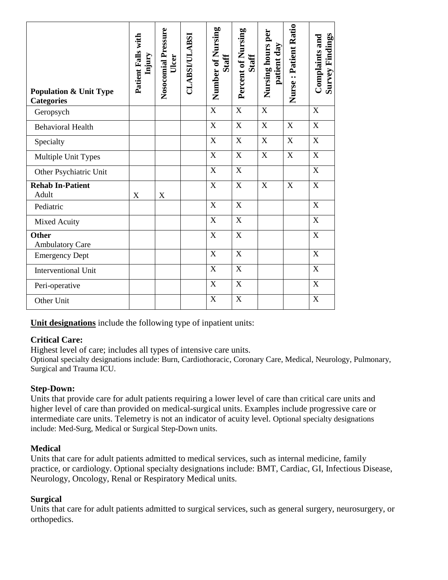| <b>Population &amp; Unit Type</b><br><b>Categories</b> | Patient Falls with<br>Injury | Nosocomial Pressure<br>Ulcer | <b>CLABSI/ULABSI</b> | Number of Nursing<br><b>Staff</b> | Percent of Nursing<br>Staff | Nursing hours per<br>patient day | Nurse: Patient Ratio | <b>Survey Findings</b><br>Complaints and |
|--------------------------------------------------------|------------------------------|------------------------------|----------------------|-----------------------------------|-----------------------------|----------------------------------|----------------------|------------------------------------------|
| Geropsych                                              |                              |                              |                      | X                                 | X                           | $\mathbf X$                      |                      | X                                        |
| <b>Behavioral Health</b>                               |                              |                              |                      | X                                 | X                           | $\overline{X}$                   | $\mathbf X$          | $\overline{X}$                           |
| Specialty                                              |                              |                              |                      | X                                 | X                           | X                                | X                    | X                                        |
| Multiple Unit Types                                    |                              |                              |                      | $\mathbf X$                       | $\boldsymbol{X}$            | X                                | $\mathbf X$          | $\mathbf X$                              |
| Other Psychiatric Unit                                 |                              |                              |                      | X                                 | X                           |                                  |                      | X                                        |
| <b>Rehab In-Patient</b><br>Adult                       | X                            | X                            |                      | $\boldsymbol{X}$                  | $\boldsymbol{X}$            | X                                | $\mathbf X$          | $\boldsymbol{X}$                         |
| Pediatric                                              |                              |                              |                      | X                                 | X                           |                                  |                      | $\boldsymbol{X}$                         |
| Mixed Acuity                                           |                              |                              |                      | X                                 | $\mathbf X$                 |                                  |                      | $\mathbf X$                              |
| Other<br><b>Ambulatory Care</b>                        |                              |                              |                      | X                                 | X                           |                                  |                      | $\boldsymbol{X}$                         |
| <b>Emergency Dept</b>                                  |                              |                              |                      | X                                 | X                           |                                  |                      | X                                        |
| <b>Interventional Unit</b>                             |                              |                              |                      | X                                 | X                           |                                  |                      | $\mathbf X$                              |
| Peri-operative                                         |                              |                              |                      | $\mathbf X$                       | $\mathbf X$                 |                                  |                      | $\mathbf X$                              |
| Other Unit                                             |                              |                              |                      | X                                 | X                           |                                  |                      | X                                        |

**Unit designations** include the following type of inpatient units:

#### **Critical Care:**

Highest level of care; includes all types of intensive care units.

Optional specialty designations include: Burn, Cardiothoracic, Coronary Care, Medical, Neurology, Pulmonary, Surgical and Trauma ICU.

#### **Step-Down:**

Units that provide care for adult patients requiring a lower level of care than critical care units and higher level of care than provided on medical-surgical units. Examples include progressive care or intermediate care units. Telemetry is not an indicator of acuity level. Optional specialty designations include: Med-Surg, Medical or Surgical Step-Down units.

#### **Medical**

Units that care for adult patients admitted to medical services, such as internal medicine, family practice, or cardiology. Optional specialty designations include: BMT, Cardiac, GI, Infectious Disease, Neurology, Oncology, Renal or Respiratory Medical units.

#### **Surgical**

Units that care for adult patients admitted to surgical services, such as general surgery, neurosurgery, or orthopedics.